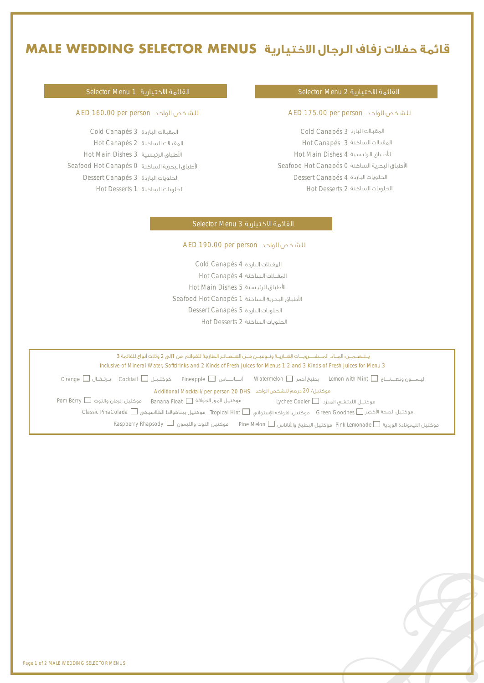## **قائمة حفلات زفاف الرجال الاختيارية MENUS SELECTOR WEDDING MALE**

#### القائمة الاختيارية 1 Menu Selector

Cold Canapés 3 المقبلات الباردة Hot Canapés 2 المقبلات الساخنة Hot Main Dishes 3 اطباق الرئيسية Seafood Hot Canapés 0 اطباق البحرية الساخنة Dessert Canapés 3 الحلويات الباردة Hot Desserts 1 الحلويات الساخنة

#### القائمة الاختيارية 2 Menu Selector

#### AED 160.00 per person الواحد للشـخص AED 175.00 per person الواحد للشـخص

Cold Canapés 3 المقبلات البارد Hot Canapés 3 المقبلات الساخنة Hot Main Dishes 4 اطباق الرئيسية Seafood Hot Canapés 0 اطباق البحرية الساخنة Dessert Canapés 4 الحلويات الباردة Hot Desserts 2 الحلويات الساخنة

### القائمة الاختيارية 3 Menu Selector

### AED 190.00 per person الواحد للشـخص

Cold Canapés 4 المقبلات الباردة Hot Canapés 4 المقبلات الساخنة Hot Main Dishes 5 اطباق الرئيسية Seafood Hot Canapés 1 اطباق البحرية الساخنة Dessert Canapés 5 الحلويات الباردة Hot Desserts 2 الحلويات الساخنة

Inclusive of Mineral Water, Softdrinks and 2 Kinds of Fresh Juices for Menus 1,2 and 3 Kinds of Fresh Juices for Menu 3 يــتــضـــــن: المــاء، المـــشــــروبـــات الغــازيــة ونــوعيــن مــن العــصـائـر الطازجة للقوائم من 1إلى 2 وثلاث أنواع للقائمة 3 ليـــمــــــون ونـعــــــنــــــاع Mint with Lemon بطيخ أحمر Watermelon أنـــــــانــــــــاس Pineapple كوكتــيــل Cocktail بــرتـــقـــال Orange Additional Mocktail/per person 20 DHS الواحد للشخص درهم 20 /موكتيل  $\epsilon$  Lychee Cooler  $\Box$  موكتيل الليتشي المبرّد Goodnes Green موكتيل الفواكه ا¡ستوائي Hint Tropical موكتيل بيناكولادا الكلاسيكي PinaColada Classic موكتيل الصحة اخضر موكتيل الرمان والتوت Berry Pom موكتيل الموز الجوافة موكتيل الليمونادة الوردية Lemonade Pink موكتيل البطيخ واناناس Melon Pine موكتيل التوت والليمون Rhapsody Raspberry